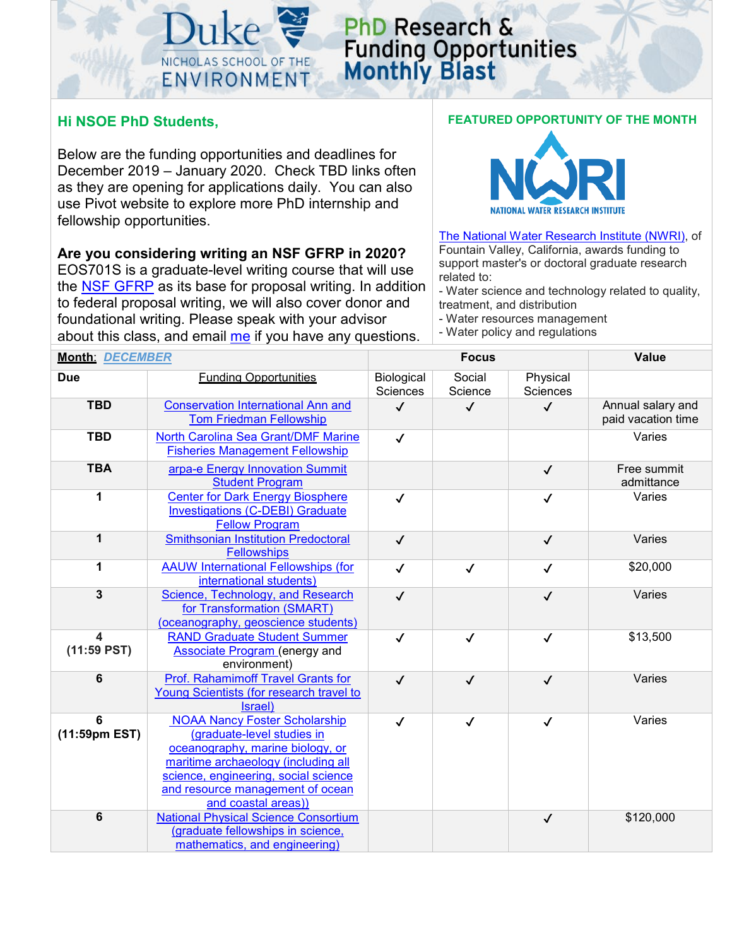

## PhD Research & **Funding Opportunities**<br>**Monthly Blast**

## **Hi NSOE PhD Students,**

Below are the funding opportunities and deadlines for December 2019 – January 2020. Check TBD links often as they are opening for applications daily. You can also use Pivot website to explore more PhD internship and fellowship opportunities.

**Are you considering writing an NSF GFRP in 2020?**

EOS701S is a graduate-level writing course that will use the [NSF GFRP](https://www.nsfgrfp.org/) as its base for proposal writing. In addition to federal proposal writing, we will also cover donor and foundational writing. Please speak with your advisor about this class, and email [me](mailto:snordone@duke.edu) if you have any questions.



[The National Water Research Institute \(NWRI\),](https://www.nwri-usa.org/fellowships) of Fountain Valley, California, awards funding to support master's or doctoral graduate research related to:

- Water science and technology related to quality, treatment, and distribution

- Water resources management
- Water policy and regulations

| <b>Month: DECEMBER</b> |                                                                                                                                                                                                                                                  |                               | <b>Focus</b>      |                             | <b>Value</b>                            |
|------------------------|--------------------------------------------------------------------------------------------------------------------------------------------------------------------------------------------------------------------------------------------------|-------------------------------|-------------------|-----------------------------|-----------------------------------------|
| <b>Due</b>             | <b>Funding Opportunities</b>                                                                                                                                                                                                                     | Biological<br><b>Sciences</b> | Social<br>Science | Physical<br><b>Sciences</b> |                                         |
| <b>TBD</b>             | <b>Conservation International Ann and</b><br><b>Tom Friedman Fellowship</b>                                                                                                                                                                      | $\checkmark$                  | $\checkmark$      | $\checkmark$                | Annual salary and<br>paid vacation time |
| <b>TBD</b>             | North Carolina Sea Grant/DMF Marine<br><b>Fisheries Management Fellowship</b>                                                                                                                                                                    | $\checkmark$                  |                   |                             | Varies                                  |
| <b>TBA</b>             | arpa-e Energy Innovation Summit<br><b>Student Program</b>                                                                                                                                                                                        |                               |                   | $\checkmark$                | Free summit<br>admittance               |
| 1                      | <b>Center for Dark Energy Biosphere</b><br><b>Investigations (C-DEBI) Graduate</b><br><b>Fellow Program</b>                                                                                                                                      | $\checkmark$                  |                   | $\checkmark$                | Varies                                  |
| 1                      | <b>Smithsonian Institution Predoctoral</b><br>Fellowships                                                                                                                                                                                        | $\checkmark$                  |                   | $\checkmark$                | Varies                                  |
| 1                      | <b>AAUW International Fellowships (for</b><br>international students)                                                                                                                                                                            | $\checkmark$                  | $\checkmark$      | $\checkmark$                | \$20,000                                |
| $\mathbf{3}$           | Science, Technology, and Research<br>for Transformation (SMART)<br>(oceanography, geoscience students)                                                                                                                                           | $\checkmark$                  |                   | $\checkmark$                | Varies                                  |
| 4<br>$(11:59$ PST)     | <b>RAND Graduate Student Summer</b><br><b>Associate Program</b> (energy and<br>environment)                                                                                                                                                      | $\checkmark$                  | $\checkmark$      | $\checkmark$                | \$13,500                                |
| $6\phantom{1}6$        | <b>Prof. Rahamimoff Travel Grants for</b><br>Young Scientists (for research travel to<br>Israel)                                                                                                                                                 | $\checkmark$                  | $\checkmark$      | $\checkmark$                | Varies                                  |
| 6<br>(11:59pm EST)     | <b>NOAA Nancy Foster Scholarship</b><br>(graduate-level studies in<br>oceanography, marine biology, or<br>maritime archaeology (including all<br>science, engineering, social science<br>and resource management of ocean<br>and coastal areas)) | $\checkmark$                  | $\checkmark$      | $\checkmark$                | Varies                                  |
| $6\phantom{1}6$        | <b>National Physical Science Consortium</b><br>(graduate fellowships in science,<br>mathematics, and engineering)                                                                                                                                |                               |                   | $\checkmark$                | \$120,000                               |

## **FEATURED OPPORTUNITY OF THE MONTH**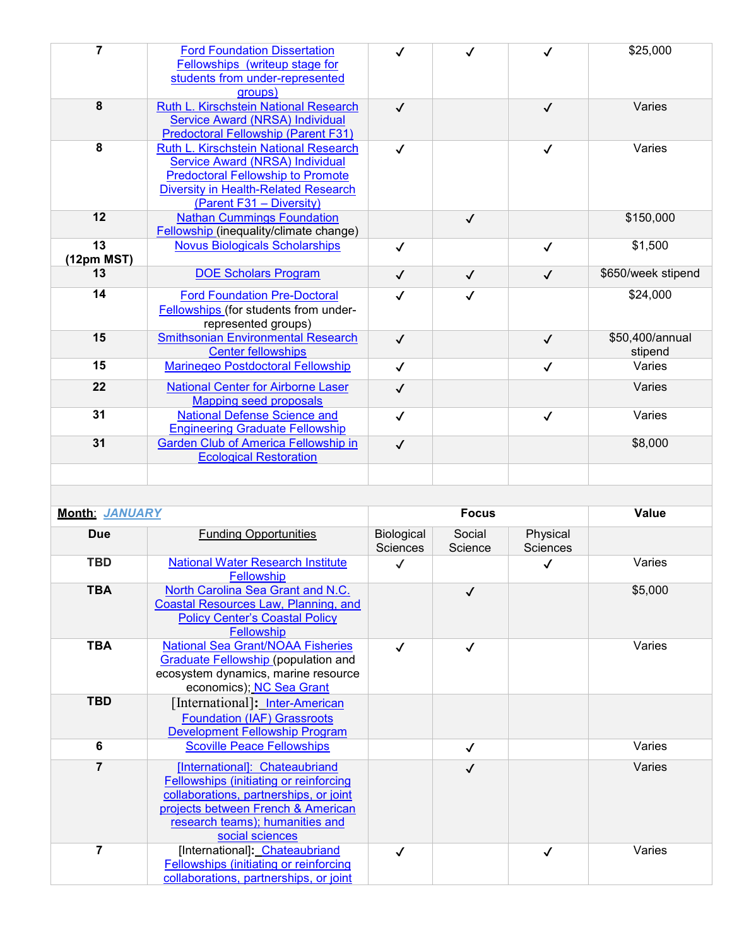| $\overline{7}$          | <b>Ford Foundation Dissertation</b><br>Fellowships (writeup stage for<br>students from under-represented<br>groups)                                                                             | $\checkmark$           | $\checkmark$      | ✓                           | \$25,000                   |
|-------------------------|-------------------------------------------------------------------------------------------------------------------------------------------------------------------------------------------------|------------------------|-------------------|-----------------------------|----------------------------|
| 8                       | Ruth L. Kirschstein National Research<br>Service Award (NRSA) Individual<br><b>Predoctoral Fellowship (Parent F31)</b>                                                                          | $\checkmark$           |                   | $\checkmark$                | Varies                     |
| $\overline{\mathbf{8}}$ | Ruth L. Kirschstein National Research<br>Service Award (NRSA) Individual<br><b>Predoctoral Fellowship to Promote</b><br><b>Diversity in Health-Related Research</b><br>(Parent F31 - Diversity) | $\checkmark$           |                   | $\checkmark$                | Varies                     |
| 12                      | <b>Nathan Cummings Foundation</b><br>Fellowship (inequality/climate change)                                                                                                                     |                        | $\checkmark$      |                             | \$150,000                  |
| 13<br>(12pm MST)        | <b>Novus Biologicals Scholarships</b>                                                                                                                                                           | $\checkmark$           |                   | $\checkmark$                | \$1,500                    |
| 13                      | <b>DOE Scholars Program</b>                                                                                                                                                                     | $\checkmark$           | $\checkmark$      | $\checkmark$                | \$650/week stipend         |
| 14                      | <b>Ford Foundation Pre-Doctoral</b><br>Fellowships (for students from under-<br>represented groups)                                                                                             | ✓                      | ✓                 |                             | \$24,000                   |
| 15                      | <b>Smithsonian Environmental Research</b><br><b>Center fellowships</b>                                                                                                                          | $\checkmark$           |                   | $\checkmark$                | \$50,400/annual<br>stipend |
| 15                      | Marinegeo Postdoctoral Fellowship                                                                                                                                                               | $\checkmark$           |                   | $\checkmark$                | Varies                     |
| 22                      | <b>National Center for Airborne Laser</b><br><b>Mapping seed proposals</b>                                                                                                                      | $\checkmark$           |                   |                             | Varies                     |
| 31                      | <b>National Defense Science and</b><br><b>Engineering Graduate Fellowship</b>                                                                                                                   | $\checkmark$           |                   | $\checkmark$                | Varies                     |
| 31                      | <b>Garden Club of America Fellowship in</b><br><b>Ecological Restoration</b>                                                                                                                    | $\checkmark$           |                   |                             | \$8,000                    |
|                         |                                                                                                                                                                                                 |                        |                   |                             |                            |
| Month: JANUARY          |                                                                                                                                                                                                 | <b>Focus</b>           |                   | Value                       |                            |
| <b>Due</b>              | <b>Funding Opportunities</b>                                                                                                                                                                    | Biological<br>Sciences | Social<br>Science | Physical<br><b>Sciences</b> |                            |
| <b>TBD</b>              | National Water Research Institute<br>Fellowship                                                                                                                                                 | $\checkmark$           |                   | $\checkmark$                | Varies                     |
| <b>TBA</b>              | North Carolina Sea Grant and N.C.<br>Coastal Resources Law, Planning, and<br><b>Policy Center's Coastal Policy</b><br>Fellowship                                                                |                        | $\checkmark$      |                             | \$5,000                    |

| Due            | Funding Opportunities                                                                                                                                                                                          | <b>Biological</b><br><b>Sciences</b> | Social<br>Science | Physical<br><b>Sciences</b> |         |
|----------------|----------------------------------------------------------------------------------------------------------------------------------------------------------------------------------------------------------------|--------------------------------------|-------------------|-----------------------------|---------|
| <b>TBD</b>     | <b>National Water Research Institute</b><br><b>Fellowship</b>                                                                                                                                                  |                                      |                   |                             | Varies  |
| <b>TBA</b>     | North Carolina Sea Grant and N.C.<br>Coastal Resources Law, Planning, and<br><b>Policy Center's Coastal Policy</b><br><b>Fellowship</b>                                                                        |                                      | $\checkmark$      |                             | \$5,000 |
| <b>TBA</b>     | <b>National Sea Grant/NOAA Fisheries</b><br><b>Graduate Fellowship (population and</b><br>ecosystem dynamics, marine resource<br>economics); NC Sea Grant                                                      |                                      | $\checkmark$      |                             | Varies  |
| <b>TBD</b>     | [International]: Inter-American<br><b>Foundation (IAF) Grassroots</b><br><b>Development Fellowship Program</b>                                                                                                 |                                      |                   |                             |         |
| 6              | <b>Scoville Peace Fellowships</b>                                                                                                                                                                              |                                      | $\checkmark$      |                             | Varies  |
| $\overline{7}$ | [International]: Chateaubriand<br>Fellowships (initiating or reinforcing<br>collaborations, partnerships, or joint<br>projects between French & American<br>research teams); humanities and<br>social sciences |                                      | ✓                 |                             | Varies  |
| 7              | [International]: Chateaubriand<br>Fellowships (initiating or reinforcing<br>collaborations, partnerships, or joint                                                                                             | √                                    |                   | ✓                           | Varies  |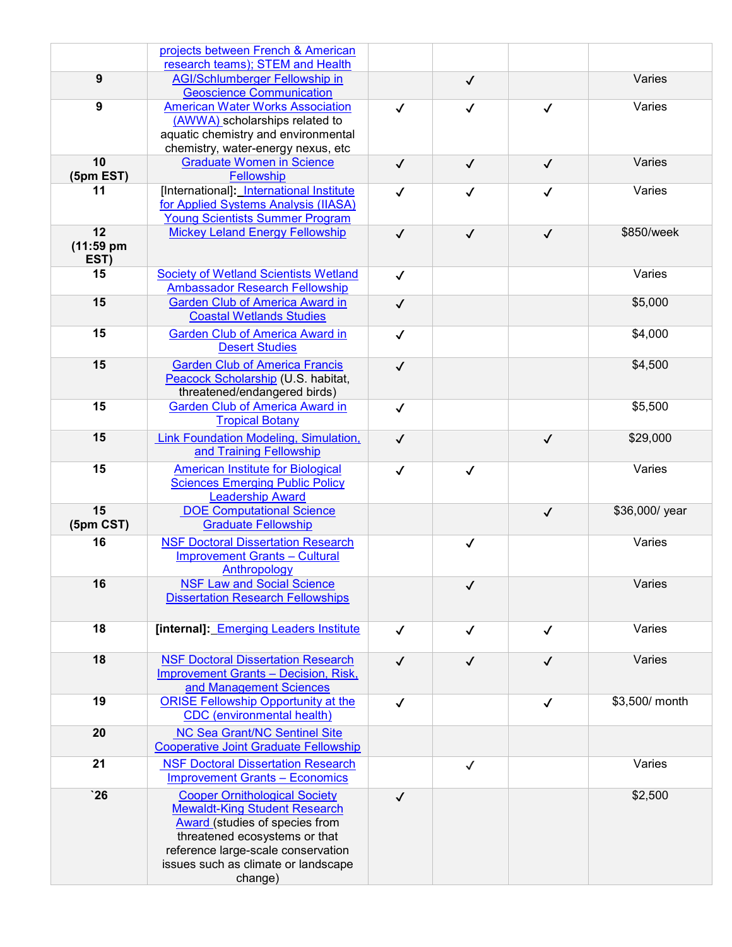|                | projects between French & American                                                 |              |              |              |                |
|----------------|------------------------------------------------------------------------------------|--------------|--------------|--------------|----------------|
|                | research teams); STEM and Health                                                   |              |              |              |                |
| 9              | <b>AGI/Schlumberger Fellowship in</b>                                              |              | $\checkmark$ |              | Varies         |
| $\overline{9}$ | <b>Geoscience Communication</b><br><b>American Water Works Association</b>         | $\checkmark$ | $\checkmark$ | $\checkmark$ | Varies         |
|                | (AWWA) scholarships related to                                                     |              |              |              |                |
|                | aquatic chemistry and environmental                                                |              |              |              |                |
|                | chemistry, water-energy nexus, etc                                                 |              |              |              |                |
| 10             | <b>Graduate Women in Science</b>                                                   | $\checkmark$ | $\checkmark$ | $\checkmark$ | Varies         |
| (5pm EST)      | Fellowship                                                                         |              |              |              |                |
| 11             | [International]: International Institute                                           | $\checkmark$ | $\checkmark$ | $\checkmark$ | Varies         |
|                | for Applied Systems Analysis (IIASA)                                               |              |              |              |                |
| 12             | <b>Young Scientists Summer Program</b>                                             |              |              |              |                |
| $(11:59$ pm    | <b>Mickey Leland Energy Fellowship</b>                                             | $\checkmark$ | $\checkmark$ | $\checkmark$ | \$850/week     |
| EST)           |                                                                                    |              |              |              |                |
| 15             | <b>Society of Wetland Scientists Wetland</b>                                       | $\checkmark$ |              |              | Varies         |
|                | <b>Ambassador Research Fellowship</b>                                              |              |              |              |                |
| 15             | <b>Garden Club of America Award in</b>                                             | $\checkmark$ |              |              | \$5,000        |
|                | <b>Coastal Wetlands Studies</b>                                                    |              |              |              |                |
| 15             | <b>Garden Club of America Award in</b>                                             | $\checkmark$ |              |              | \$4,000        |
|                | <b>Desert Studies</b>                                                              |              |              |              |                |
| 15             | <b>Garden Club of America Francis</b>                                              | $\checkmark$ |              |              | \$4,500        |
|                | Peacock Scholarship (U.S. habitat,                                                 |              |              |              |                |
|                | threatened/endangered birds)                                                       |              |              |              |                |
| 15             | <b>Garden Club of America Award in</b><br><b>Tropical Botany</b>                   | $\checkmark$ |              |              | \$5,500        |
|                |                                                                                    |              |              |              |                |
| 15             | <b>Link Foundation Modeling, Simulation,</b><br>and Training Fellowship            | $\checkmark$ |              | $\checkmark$ | \$29,000       |
|                |                                                                                    |              |              |              |                |
| 15             | <b>American Institute for Biological</b><br><b>Sciences Emerging Public Policy</b> | $\checkmark$ | $\checkmark$ |              | Varies         |
|                | <b>Leadership Award</b>                                                            |              |              |              |                |
| 15             | <b>DOE Computational Science</b>                                                   |              |              | $\checkmark$ | \$36,000/ year |
| (5pm CST)      | <b>Graduate Fellowship</b>                                                         |              |              |              |                |
| 16             | <b>NSF Doctoral Dissertation Research</b>                                          |              | $\checkmark$ |              | Varies         |
|                | <b>Improvement Grants - Cultural</b>                                               |              |              |              |                |
|                | <b>Anthropology</b>                                                                |              |              |              |                |
| 16             | <b>NSF Law and Social Science</b>                                                  |              | $\checkmark$ |              | Varies         |
|                | <b>Dissertation Research Fellowships</b>                                           |              |              |              |                |
| 18             | [internal]: Emerging Leaders Institute                                             |              |              |              | Varies         |
|                |                                                                                    | $\checkmark$ | $\checkmark$ | $\checkmark$ |                |
| 18             | <b>NSF Doctoral Dissertation Research</b>                                          | $\checkmark$ | $\checkmark$ | $\checkmark$ | Varies         |
|                | <b>Improvement Grants - Decision, Risk,</b>                                        |              |              |              |                |
|                | and Management Sciences                                                            |              |              |              |                |
| 19             | <b>ORISE Fellowship Opportunity at the</b>                                         | $\checkmark$ |              | $\checkmark$ | \$3,500/ month |
|                | <b>CDC</b> (environmental health)                                                  |              |              |              |                |
| 20             | <b>NC Sea Grant/NC Sentinel Site</b>                                               |              |              |              |                |
|                | <b>Cooperative Joint Graduate Fellowship</b>                                       |              |              |              |                |
| 21             | <b>NSF Doctoral Dissertation Research</b>                                          |              | $\checkmark$ |              | Varies         |
|                | <b>Improvement Grants - Economics</b>                                              |              |              |              |                |
| $\mathbf{26}$  | <b>Cooper Ornithological Society</b>                                               | $\checkmark$ |              |              | \$2,500        |
|                | <b>Mewaldt-King Student Research</b>                                               |              |              |              |                |
|                | <b>Award</b> (studies of species from                                              |              |              |              |                |
|                | threatened ecosystems or that                                                      |              |              |              |                |
|                | reference large-scale conservation<br>issues such as climate or landscape          |              |              |              |                |
|                | change)                                                                            |              |              |              |                |